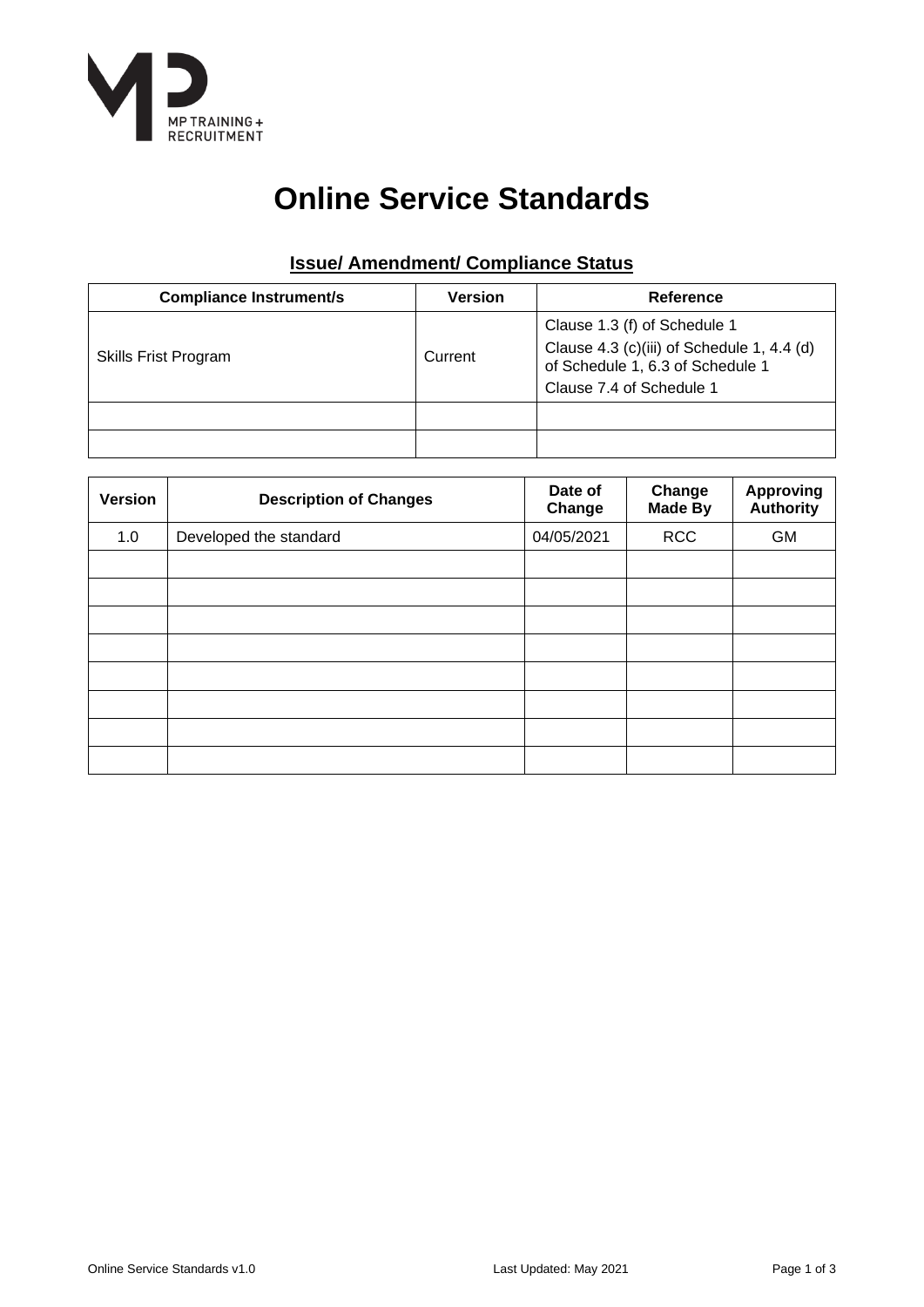

# **Online Service Standards**

# **Issue/ Amendment/ Compliance Status**

| <b>Compliance Instrument/s</b> | <b>Version</b> | Reference                                                                                                                                  |  |  |
|--------------------------------|----------------|--------------------------------------------------------------------------------------------------------------------------------------------|--|--|
| <b>Skills Frist Program</b>    | Current        | Clause 1.3 (f) of Schedule 1<br>Clause 4.3 (c)(iii) of Schedule 1, 4.4 (d)<br>of Schedule 1, 6.3 of Schedule 1<br>Clause 7.4 of Schedule 1 |  |  |
|                                |                |                                                                                                                                            |  |  |
|                                |                |                                                                                                                                            |  |  |

| <b>Version</b> | <b>Description of Changes</b> | Date of<br>Change | Change<br><b>Made By</b> | <b>Approving</b><br>Authority |
|----------------|-------------------------------|-------------------|--------------------------|-------------------------------|
| 1.0            | Developed the standard        | 04/05/2021        | <b>RCC</b>               | <b>GM</b>                     |
|                |                               |                   |                          |                               |
|                |                               |                   |                          |                               |
|                |                               |                   |                          |                               |
|                |                               |                   |                          |                               |
|                |                               |                   |                          |                               |
|                |                               |                   |                          |                               |
|                |                               |                   |                          |                               |
|                |                               |                   |                          |                               |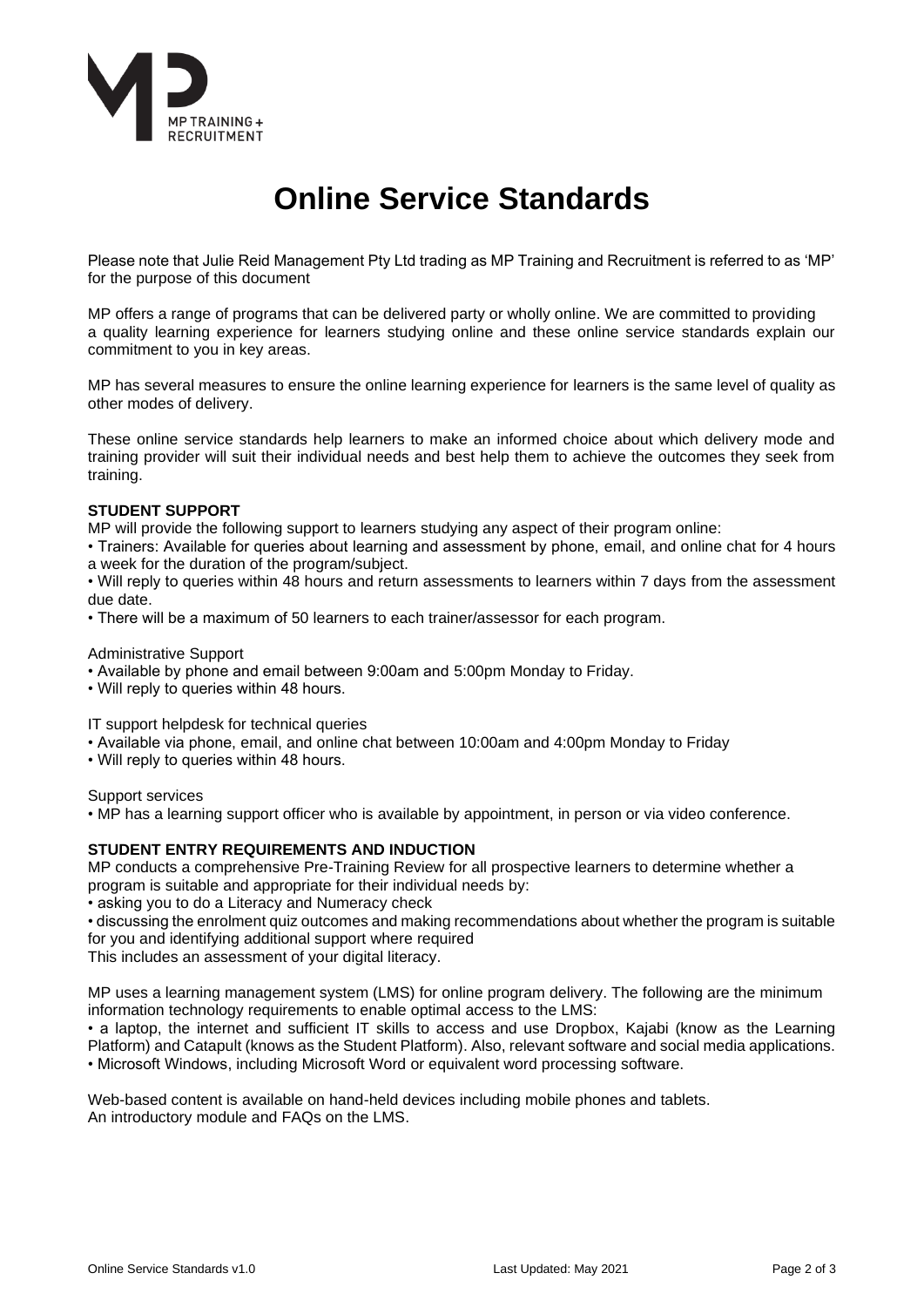

# **Online Service Standards**

Please note that Julie Reid Management Pty Ltd trading as MP Training and Recruitment is referred to as 'MP' for the purpose of this document

MP offers a range of programs that can be delivered party or wholly online. We are committed to providing a quality learning experience for learners studying online and these online service standards explain our commitment to you in key areas.

MP has several measures to ensure the online learning experience for learners is the same level of quality as other modes of delivery.

These online service standards help learners to make an informed choice about which delivery mode and training provider will suit their individual needs and best help them to achieve the outcomes they seek from training.

#### **STUDENT SUPPORT**

MP will provide the following support to learners studying any aspect of their program online:

• Trainers: Available for queries about learning and assessment by phone, email, and online chat for 4 hours a week for the duration of the program/subject.

• Will reply to queries within 48 hours and return assessments to learners within 7 days from the assessment due date.

• There will be a maximum of 50 learners to each trainer/assessor for each program.

Administrative Support

- Available by phone and email between 9:00am and 5:00pm Monday to Friday.
- Will reply to queries within 48 hours.

IT support helpdesk for technical queries

- Available via phone, email, and online chat between 10:00am and 4:00pm Monday to Friday
- Will reply to queries within 48 hours.

Support services

• MP has a learning support officer who is available by appointment, in person or via video conference.

#### **STUDENT ENTRY REQUIREMENTS AND INDUCTION**

MP conducts a comprehensive Pre-Training Review for all prospective learners to determine whether a program is suitable and appropriate for their individual needs by:

• asking you to do a Literacy and Numeracy check

• discussing the enrolment quiz outcomes and making recommendations about whether the program is suitable for you and identifying additional support where required

This includes an assessment of your digital literacy.

MP uses a learning management system (LMS) for online program delivery. The following are the minimum information technology requirements to enable optimal access to the LMS:

• a laptop, the internet and sufficient IT skills to access and use Dropbox, Kajabi (know as the Learning Platform) and Catapult (knows as the Student Platform). Also, relevant software and social media applications. • Microsoft Windows, including Microsoft Word or equivalent word processing software.

Web-based content is available on hand-held devices including mobile phones and tablets. An introductory module and FAQs on the LMS.